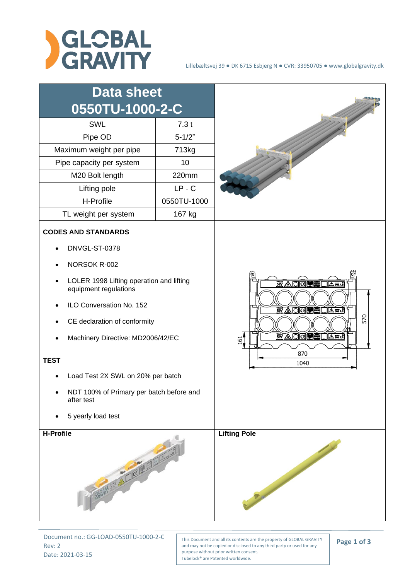



Document no.: GG-LOAD-0550TU-1000-2-C Rev: 2 Date: 2021-03-15

This Document and all its contents are the property of GLOBAL GRAVITY and may not be copied or disclosed to any third party or used for any purpose without prior written consent. Tubelock® are Patented worldwide.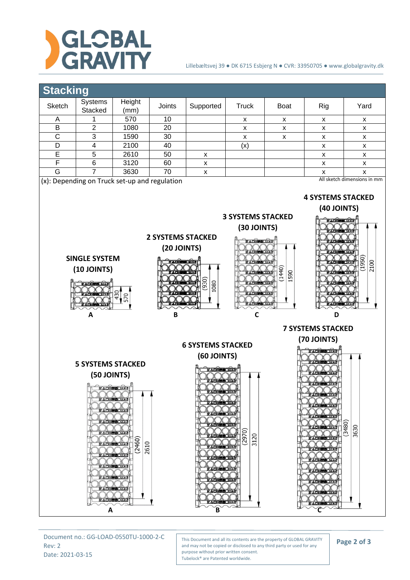

## Lillebæltsvej 39 ● DK 6715 Esbjerg N ● CVR: 33950705 ● www.globalgravity.dk



This Document and all its contents are the property of GLOBAL GRAVITY and may not be copied or disclosed to any third party or used for any purpose without prior written consent. Tubelock® are Patented worldwide.